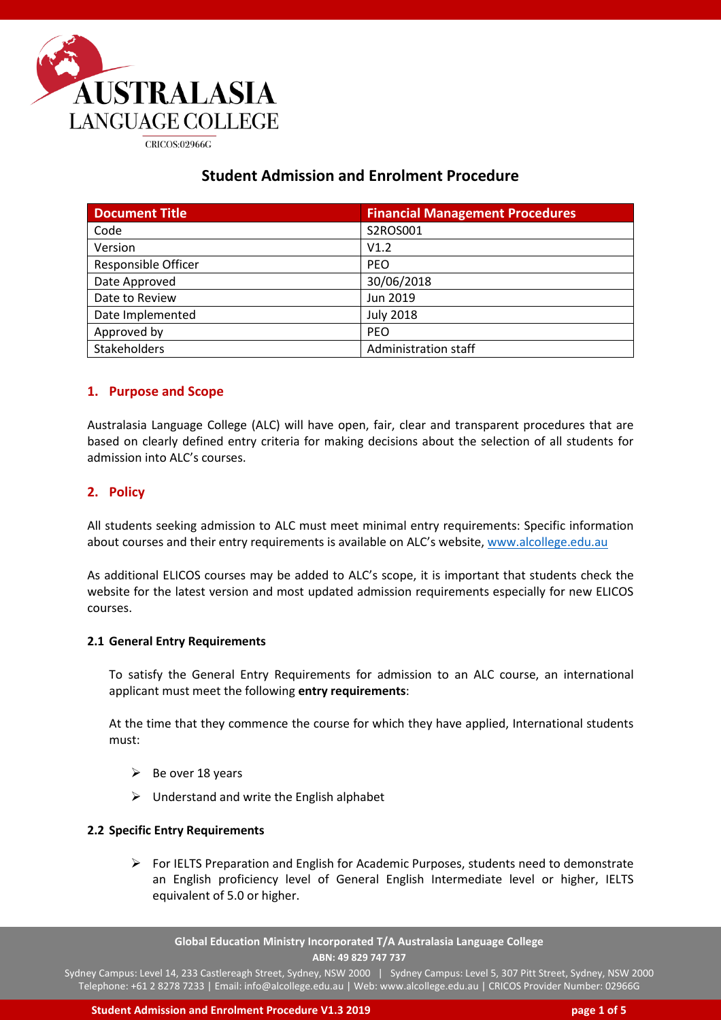

# **Student Admission and Enrolment Procedure**

| <b>Document Title</b>      | <b>Financial Management Procedures</b> |
|----------------------------|----------------------------------------|
| Code                       | S2ROS001                               |
| Version                    | V1.2                                   |
| <b>Responsible Officer</b> | <b>PEO</b>                             |
| Date Approved              | 30/06/2018                             |
| Date to Review             | Jun 2019                               |
| Date Implemented           | <b>July 2018</b>                       |
| Approved by                | <b>PEO</b>                             |
| Stakeholders               | Administration staff                   |

## **1. Purpose and Scope**

Australasia Language College (ALC) will have open, fair, clear and transparent procedures that are based on clearly defined entry criteria for making decisions about the selection of all students for admission into ALC's courses.

## **2. Policy**

All students seeking admission to ALC must meet minimal entry requirements: Specific information about courses and their entry requirements is available on ALC's website, [www.alcollege.edu.au](http://www.alcollege.edu.au/)

As additional ELICOS courses may be added to ALC's scope, it is important that students check the website for the latest version and most updated admission requirements especially for new ELICOS courses.

#### **2.1 General Entry Requirements**

To satisfy the General Entry Requirements for admission to an ALC course, an international applicant must meet the following **entry requirements**:

At the time that they commence the course for which they have applied, International students must:

- $\triangleright$  Be over 18 years
- $\triangleright$  Understand and write the English alphabet

## **2.2 Specific Entry Requirements**

 $\triangleright$  For IELTS Preparation and English for Academic Purposes, students need to demonstrate an English proficiency level of General English Intermediate level or higher, IELTS equivalent of 5.0 or higher.

**Global Education Ministry Incorporated T/A Australasia Language College ABN: 49 829 747 737**

Sydney Campus: Level 14, 233 Castlereagh Street, Sydney, NSW 2000 | Sydney Campus: Level 5, 307 Pitt Street, Sydney, NSW 2000 Telephone: +61 2 8278 7233 | Email: info@alcollege.edu.au | Web: www.alcollege.edu.au | CRICOS Provider Number: 02966G

**Student Admission and Enrolment Procedure V1.3 2019 page 1 of 5**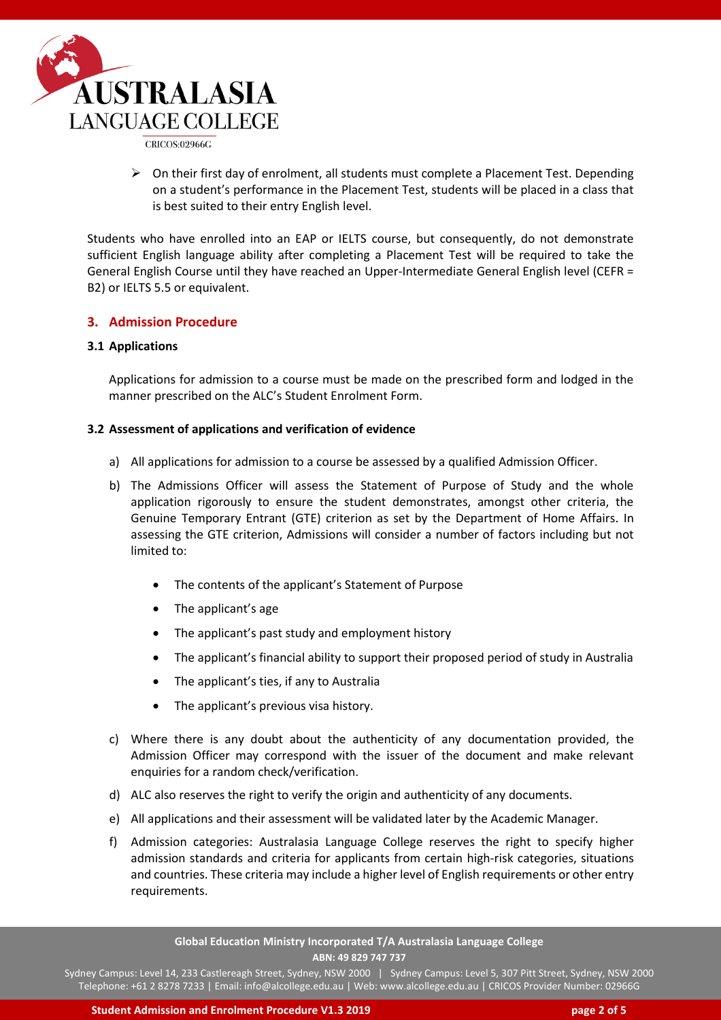

CRICOS:02966G

 $\triangleright$  On their first day of enrolment, all students must complete a Placement Test. Depending on a student's performance in the Placement Test, students will be placed in a class that is best suited to their entry English level.

Students who have enrolled into an EAP or IELTS course, but consequently, do not demonstrate sufficient English language ability after completing a Placement Test will be required to take the General English Course until they have reached an Upper-Intermediate General English level (CEFR = B2) or IELTS 5.5 or equivalent.

## **3. Admission Procedure**

#### **3.1 Applications**

Applications for admission to a course must be made on the prescribed form and lodged in the manner prescribed on the ALC's Student Enrolment Form.

#### **3.2 Assessment of applications and verification of evidence**

- a) All applications for admission to a course be assessed by a qualified Admission Officer.
- b) The Admissions Officer will assess the Statement of Purpose of Study and the whole application rigorously to ensure the student demonstrates, amongst other criteria, the Genuine Temporary Entrant (GTE) criterion as set by the Department of Home Affairs. In assessing the GTE criterion, Admissions will consider a number of factors including but not limited to:
	- The contents of the applicant's Statement of Purpose
	- The applicant's age
	- The applicant's past study and employment history
	- The applicant's financial ability to support their proposed period of study in Australia
	- The applicant's ties, if any to Australia
	- The applicant's previous visa history.
- c) Where there is any doubt about the authenticity of any documentation provided, the Admission Officer may correspond with the issuer of the document and make relevant enquiries for a random check/verification.
- d) ALC also reserves the right to verify the origin and authenticity of any documents.
- e) All applications and their assessment will be validated later by the Academic Manager.
- f) Admission categories: Australasia Language College reserves the right to specify higher admission standards and criteria for applicants from certain high-risk categories, situations and countries. These criteria may include a higher level of English requirements or other entry requirements.

**Global Education Ministry Incorporated T/A Australasia Language College ABN: 49 829 747 737**

Sydney Campus: Level 14, 233 Castlereagh Street, Sydney, NSW 2000 | Sydney Campus: Level 5, 307 Pitt Street, Sydney, NSW 2000 Telephone: +61 2 8278 7233 | Email: info@alcollege.edu.au | Web: www.alcollege.edu.au | CRICOS Provider Number: 02966G

**Student Admission and Enrolment Procedure V1.3 2019 page 2 of 5**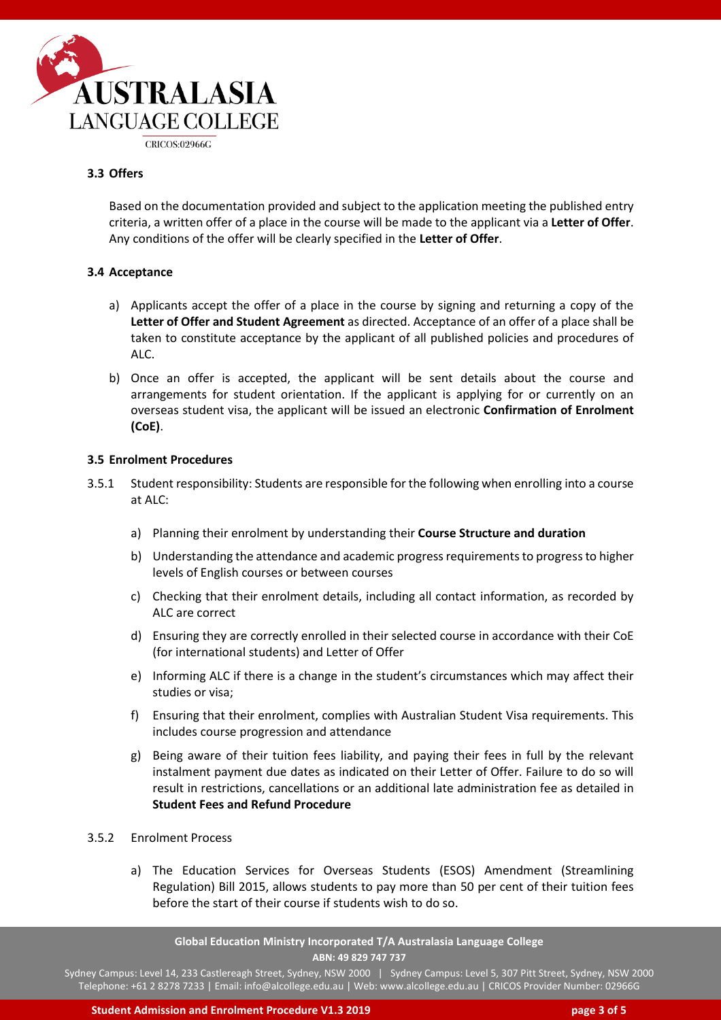

#### **3.3 Offers**

Based on the documentation provided and subject to the application meeting the published entry criteria, a written offer of a place in the course will be made to the applicant via a **Letter of Offer**. Any conditions of the offer will be clearly specified in the **Letter of Offer**.

#### **3.4 Acceptance**

- a) Applicants accept the offer of a place in the course by signing and returning a copy of the **Letter of Offer and Student Agreement** as directed. Acceptance of an offer of a place shall be taken to constitute acceptance by the applicant of all published policies and procedures of ALC.
- b) Once an offer is accepted, the applicant will be sent details about the course and arrangements for student orientation. If the applicant is applying for or currently on an overseas student visa, the applicant will be issued an electronic **Confirmation of Enrolment (CoE)**.

#### **3.5 Enrolment Procedures**

- 3.5.1 Student responsibility: Students are responsible for the following when enrolling into a course at ALC:
	- a) Planning their enrolment by understanding their **Course Structure and duration**
	- b) Understanding the attendance and academic progress requirements to progress to higher levels of English courses or between courses
	- c) Checking that their enrolment details, including all contact information, as recorded by ALC are correct
	- d) Ensuring they are correctly enrolled in their selected course in accordance with their CoE (for international students) and Letter of Offer
	- e) Informing ALC if there is a change in the student's circumstances which may affect their studies or visa;
	- f) Ensuring that their enrolment, complies with Australian Student Visa requirements. This includes course progression and attendance
	- g) Being aware of their tuition fees liability, and paying their fees in full by the relevant instalment payment due dates as indicated on their Letter of Offer. Failure to do so will result in restrictions, cancellations or an additional late administration fee as detailed in **Student Fees and Refund Procedure**

#### 3.5.2 Enrolment Process

a) The Education Services for Overseas Students (ESOS) Amendment (Streamlining Regulation) Bill 2015, allows students to pay more than 50 per cent of their tuition fees before the start of their course if students wish to do so.

**Global Education Ministry Incorporated T/A Australasia Language College ABN: 49 829 747 737**

Sydney Campus: Level 14, 233 Castlereagh Street, Sydney, NSW 2000 | Sydney Campus: Level 5, 307 Pitt Street, Sydney, NSW 2000 Telephone: +61 2 8278 7233 | Email: info@alcollege.edu.au | Web: www.alcollege.edu.au | CRICOS Provider Number: 02966G

**Student Admission and Enrolment Procedure V1.3 2019 page 3 of 5**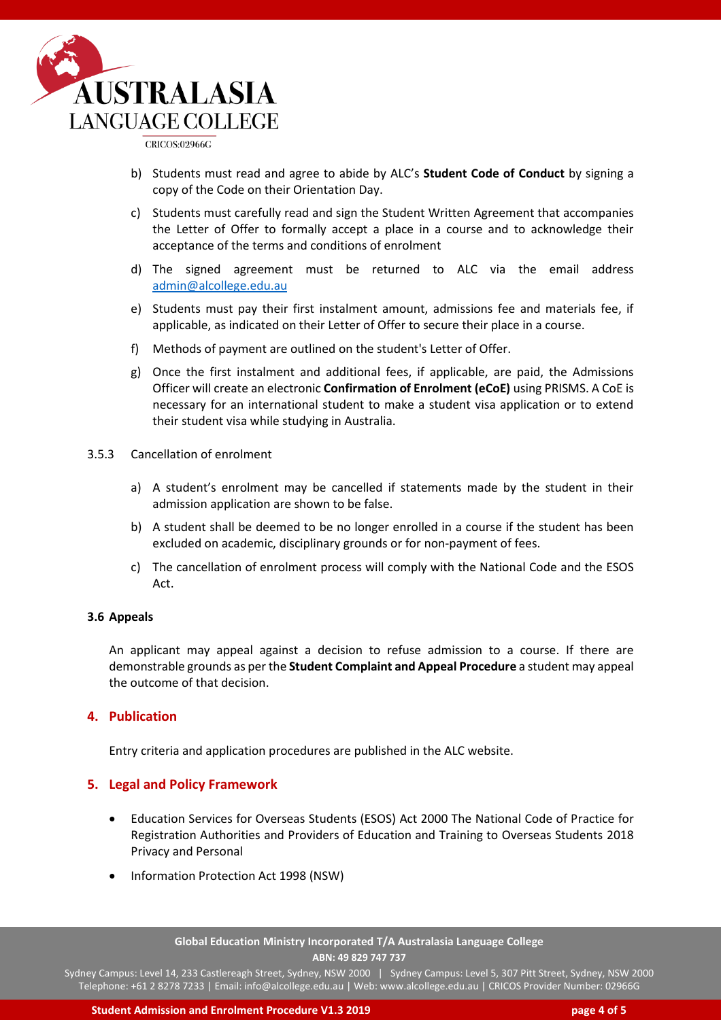

CRICOS:02966G

- b) Students must read and agree to abide by ALC's **Student Code of Conduct** by signing a copy of the Code on their Orientation Day.
- c) Students must carefully read and sign the Student Written Agreement that accompanies the Letter of Offer to formally accept a place in a course and to acknowledge their acceptance of the terms and conditions of enrolment
- d) The signed agreement must be returned to ALC via the email address [admin@alcollege.edu.au](mailto:admin@alcollege.edu.au)
- e) Students must pay their first instalment amount, admissions fee and materials fee, if applicable, as indicated on their Letter of Offer to secure their place in a course.
- f) Methods of payment are outlined on the student's Letter of Offer.
- g) Once the first instalment and additional fees, if applicable, are paid, the Admissions Officer will create an electronic **Confirmation of Enrolment (eCoE)** using PRISMS. A CoE is necessary for an international student to make a student visa application or to extend their student visa while studying in Australia.
- 3.5.3 Cancellation of enrolment
	- a) A student's enrolment may be cancelled if statements made by the student in their admission application are shown to be false.
	- b) A student shall be deemed to be no longer enrolled in a course if the student has been excluded on academic, disciplinary grounds or for non-payment of fees.
	- c) The cancellation of enrolment process will comply with the National Code and the ESOS Act.

#### **3.6 Appeals**

An applicant may appeal against a decision to refuse admission to a course. If there are demonstrable grounds as per the **Student Complaint and Appeal Procedure** a student may appeal the outcome of that decision.

#### **4. Publication**

Entry criteria and application procedures are published in the ALC website.

#### **5. Legal and Policy Framework**

- Education Services for Overseas Students (ESOS) Act 2000 The National Code of Practice for Registration Authorities and Providers of Education and Training to Overseas Students 2018 Privacy and Personal
- Information Protection Act 1998 (NSW)

#### **Global Education Ministry Incorporated T/A Australasia Language College ABN: 49 829 747 737**

Sydney Campus: Level 14, 233 Castlereagh Street, Sydney, NSW 2000 | Sydney Campus: Level 5, 307 Pitt Street, Sydney, NSW 2000 Telephone: +61 2 8278 7233 | Email: info@alcollege.edu.au | Web: www.alcollege.edu.au | CRICOS Provider Number: 02966G

**Student Admission and Enrolment Procedure V1.3 2019 page 4 of 5**